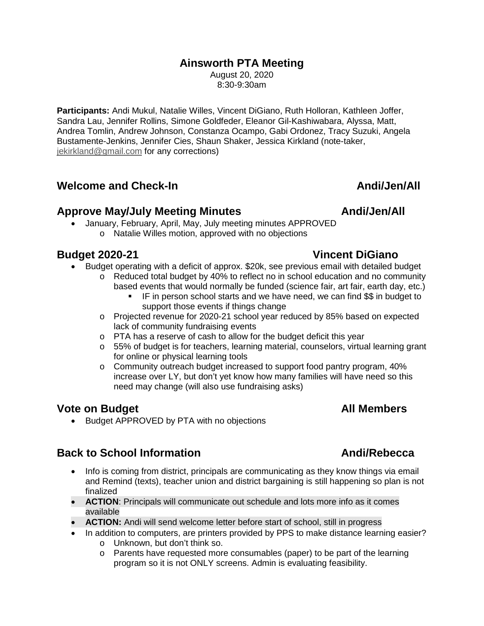### **Ainsworth PTA Meeting**

August 20, 2020 8:30-9:30am

**Participants:** Andi Mukul, Natalie Willes, Vincent DiGiano, Ruth Holloran, Kathleen Joffer, Sandra Lau, Jennifer Rollins, Simone Goldfeder, Eleanor Gil-Kashiwabara, Alyssa, Matt, Andrea Tomlin, Andrew Johnson, Constanza Ocampo, Gabi Ordonez, Tracy Suzuki, Angela Bustamente-Jenkins, Jennifer Cies, Shaun Shaker, Jessica Kirkland (note-taker, jekirkland@gmail.com for any corrections)

## **Welcome and Check-In Andi/Jen/All**

### Approve May/July Meeting Minutes **Andi/Jen/All**

 January, February, April, May, July meeting minutes APPROVED o Natalie Willes motion, approved with no objections

- Budget operating with a deficit of approx. \$20k, see previous email with detailed budget
	- $\circ$  Reduced total budget by 40% to reflect no in school education and no community based events that would normally be funded (science fair, art fair, earth day, etc.)
		- IF in person school starts and we have need, we can find \$\$ in budget to support those events if things change
	- o Projected revenue for 2020-21 school year reduced by 85% based on expected lack of community fundraising events
	- o PTA has a reserve of cash to allow for the budget deficit this year
	- $\circ$  55% of budget is for teachers, learning material, counselors, virtual learning grant for online or physical learning tools
	- $\circ$  Community outreach budget increased to support food pantry program, 40% increase over LY, but don't yet know how many families will have need so this need may change (will also use fundraising asks)

## **Vote on Budget All Members**

• Budget APPROVED by PTA with no objections

## **Back to School Information Andi/Rebecca**

- Info is coming from district, principals are communicating as they know things via email and Remind (texts), teacher union and district bargaining is still happening so plan is not finalized
- **ACTION**: Principals will communicate out schedule and lots more info as it comes available
- **ACTION:** Andi will send welcome letter before start of school, still in progress
- In addition to computers, are printers provided by PPS to make distance learning easier?
	- o Unknown, but don't think so.
	- o Parents have requested more consumables (paper) to be part of the learning program so it is not ONLY screens. Admin is evaluating feasibility.

# **Budget 2020-21 Vincent DiGiano**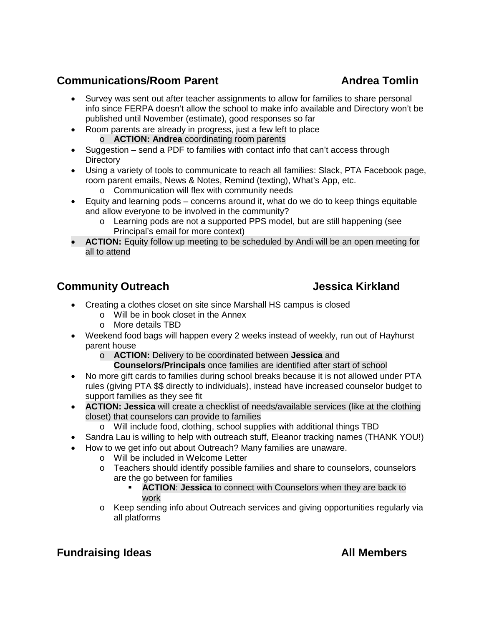# **Communications/Room Parent Communications/Room Parent Andrea Tomlin**

- Survey was sent out after teacher assignments to allow for families to share personal info since FERPA doesn't allow the school to make info available and Directory won't be published until November (estimate), good responses so far
- Room parents are already in progress, just a few left to place o **ACTION: Andrea** coordinating room parents
- Suggestion send a PDF to families with contact info that can't access through **Directory**
- Using a variety of tools to communicate to reach all families: Slack, PTA Facebook page, room parent emails, News & Notes, Remind (texting), What's App, etc.
	- o Communication will flex with community needs
- Equity and learning pods concerns around it, what do we do to keep things equitable and allow everyone to be involved in the community?
	- o Learning pods are not a supported PPS model, but are still happening (see Principal's email for more context)
- **ACTION:** Equity follow up meeting to be scheduled by Andi will be an open meeting for all to attend

# **Community Outreach Community Outreach Community Outreach Community Community Community Community Community Community**

- Creating a clothes closet on site since Marshall HS campus is closed
	- o Will be in book closet in the Annex
	- o More details TBD
- Weekend food bags will happen every 2 weeks instead of weekly, run out of Hayhurst parent house
	- o **ACTION:** Delivery to be coordinated between **Jessica** and
		- **Counselors/Principals** once families are identified after start of school
- No more gift cards to families during school breaks because it is not allowed under PTA rules (giving PTA \$\$ directly to individuals), instead have increased counselor budget to support families as they see fit
- **ACTION: Jessica** will create a checklist of needs/available services (like at the clothing closet) that counselors can provide to families
	- o Will include food, clothing, school supplies with additional things TBD
- Sandra Lau is willing to help with outreach stuff, Eleanor tracking names (THANK YOU!)
- How to we get info out about Outreach? Many families are unaware.
	- o Will be included in Welcome Letter
	- o Teachers should identify possible families and share to counselors, counselors are the go between for families
		- **ACTION**: **Jessica** to connect with Counselors when they are back to work
	- o Keep sending info about Outreach services and giving opportunities regularly via all platforms

# **Fundraising Ideas All Members**